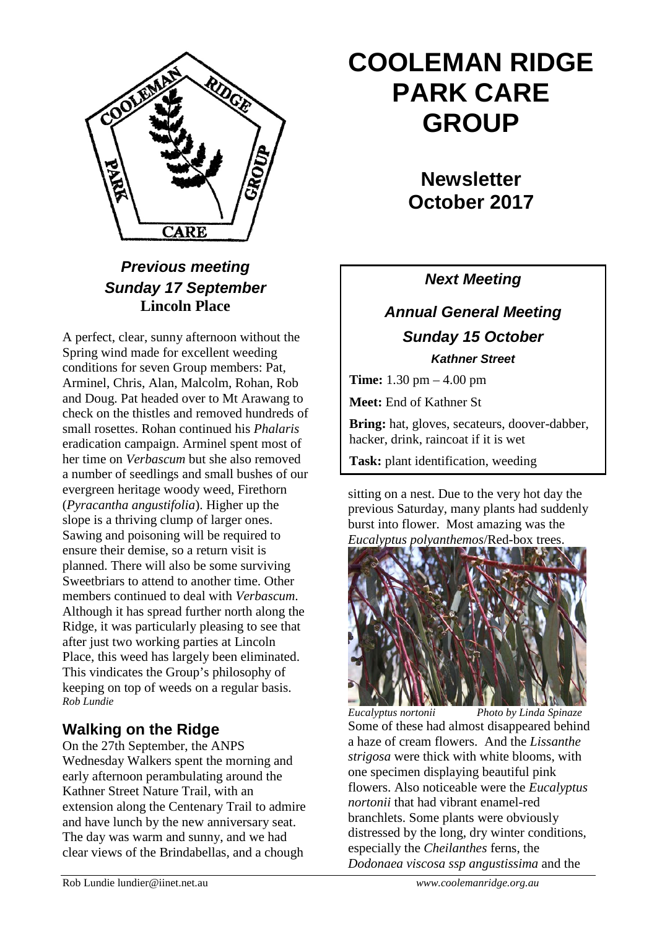

## *Previous meeting Sunday 17 September* **Lincoln Place**

A perfect, clear, sunny afternoon without the Spring wind made for excellent weeding conditions for seven Group members: Pat, Arminel, Chris, Alan, Malcolm, Rohan, Rob and Doug. Pat headed over to Mt Arawang to check on the thistles and removed hundreds of small rosettes. Rohan continued his *Phalaris* eradication campaign. Arminel spent most of her time on *Verbascum* but she also removed a number of seedlings and small bushes of our evergreen heritage woody weed, Firethorn (*Pyracantha angustifolia*). Higher up the slope is a thriving clump of larger ones. Sawing and poisoning will be required to ensure their demise, so a return visit is planned. There will also be some surviving Sweetbriars to attend to another time. Other members continued to deal with *Verbascum*. Although it has spread further north along the Ridge, it was particularly pleasing to see that after just two working parties at Lincoln Place, this weed has largely been eliminated. This vindicates the Group's philosophy of keeping on top of weeds on a regular basis. *Rob Lundie*

### **Walking on the Ridge**

On the 27th September, the ANPS Wednesday Walkers spent the morning and early afternoon perambulating around the Kathner Street Nature Trail, with an extension along the Centenary Trail to admire and have lunch by the new anniversary seat. The day was warm and sunny, and we had clear views of the Brindabellas, and a chough

# **COOLEMAN RIDGE PARK CARE GROUP**

**Newsletter October 2017** 

*Next Meeting*

# *Annual General Meeting Sunday 15 October Kathner Street*

**Time:** 1.30 pm – 4.00 pm

**Meet:** End of Kathner St

**Bring:** hat, gloves, secateurs, doover-dabber, hacker, drink, raincoat if it is wet

**Task:** plant identification, weeding

sitting on a nest. Due to the very hot day the previous Saturday, many plants had suddenly burst into flower. Most amazing was the *Eucalyptus polyanthemos*/Red-box trees.



*Eucalyptus nortonii Photo by Linda Spinaze* Some of these had almost disappeared behind a haze of cream flowers. And the *Lissanthe strigosa* were thick with white blooms, with one specimen displaying beautiful pink flowers. Also noticeable were the *Eucalyptus nortonii* that had vibrant enamel-red branchlets. Some plants were obviously distressed by the long, dry winter conditions, especially the *Cheilanthes* ferns, the *Dodonaea viscosa ssp angustissima* and the